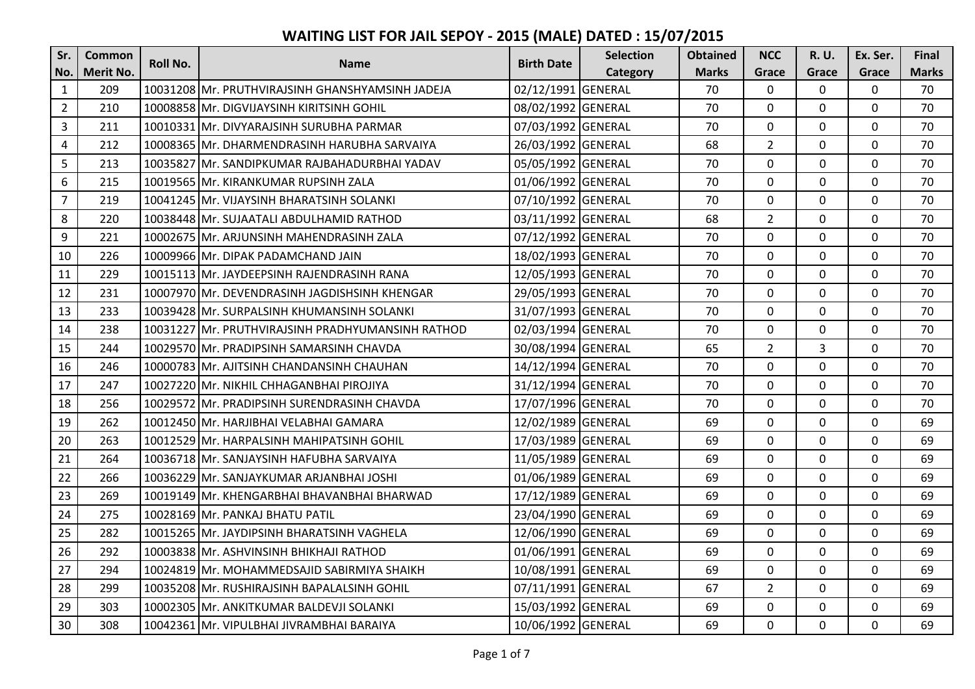| Sr.            | <b>Common</b> | Roll No. |                                                   | <b>Birth Date</b>  | <b>Selection</b> | <b>Obtained</b> | <b>NCC</b>     | <b>R.U.</b>  | Ex. Ser.     | <b>Final</b> |
|----------------|---------------|----------|---------------------------------------------------|--------------------|------------------|-----------------|----------------|--------------|--------------|--------------|
| No.            | Merit No.     |          | <b>Name</b>                                       |                    | Category         | <b>Marks</b>    | Grace          | Grace        | Grace        | <b>Marks</b> |
| $\mathbf{1}$   | 209           |          | 10031208 Mr. PRUTHVIRAJSINH GHANSHYAMSINH JADEJA  | 02/12/1991 GENERAL |                  | 70              | $\Omega$       | $\mathbf{0}$ | $\mathbf{0}$ | 70           |
| $\overline{2}$ | 210           |          | 10008858 Mr. DIGVIJAYSINH KIRITSINH GOHIL         | 08/02/1992 GENERAL |                  | 70              | $\mathbf 0$    | $\Omega$     | $\mathbf 0$  | 70           |
| $\overline{3}$ | 211           |          | 10010331 Mr. DIVYARAJSINH SURUBHA PARMAR          | 07/03/1992 GENERAL |                  | 70              | $\mathbf 0$    | 0            | $\mathbf 0$  | 70           |
| $\overline{4}$ | 212           |          | 10008365 IMr. DHARMENDRASINH HARUBHA SARVAIYA     | 26/03/1992 GENERAL |                  | 68              | $\overline{2}$ | $\mathbf 0$  | $\mathbf 0$  | 70           |
| 5              | 213           |          | 10035827 Mr. SANDIPKUMAR RAJBAHADURBHAI YADAV     | 05/05/1992 GENERAL |                  | 70              | $\Omega$       | $\Omega$     | $\mathbf 0$  | 70           |
| 6              | 215           |          | 10019565 IMr. KIRANKUMAR RUPSINH ZALA             | 01/06/1992 GENERAL |                  | 70              | $\mathbf{0}$   | $\mathbf 0$  | $\mathbf 0$  | 70           |
| $\overline{7}$ | 219           |          | 10041245 Mr. VIJAYSINH BHARATSINH SOLANKI         | 07/10/1992 GENERAL |                  | 70              | $\mathbf 0$    | $\mathbf{0}$ | $\mathbf{0}$ | 70           |
| 8              | 220           |          | 10038448 Mr. SUJAATALI ABDULHAMID RATHOD          | 03/11/1992 GENERAL |                  | 68              | $\overline{2}$ | $\mathbf{0}$ | $\mathbf{0}$ | 70           |
| 9              | 221           |          | 10002675 IMr. ARJUNSINH MAHENDRASINH ZALA         | 07/12/1992 GENERAL |                  | 70              | $\mathbf{0}$   | $\Omega$     | $\mathbf 0$  | 70           |
| 10             | 226           |          | 10009966 Mr. DIPAK PADAMCHAND JAIN                | 18/02/1993 GENERAL |                  | 70              | $\Omega$       | $\mathbf{0}$ | $\mathbf 0$  | 70           |
| 11             | 229           |          | 10015113 Mr. JAYDEEPSINH RAJENDRASINH RANA        | 12/05/1993 GENERAL |                  | 70              | $\mathbf 0$    | $\mathbf 0$  | $\mathbf 0$  | 70           |
| 12             | 231           |          | 10007970 Mr. DEVENDRASINH JAGDISHSINH KHENGAR     | 29/05/1993 GENERAL |                  | 70              | $\Omega$       | $\Omega$     | $\mathbf 0$  | 70           |
| 13             | 233           |          | 10039428 Mr. SURPALSINH KHUMANSINH SOLANKI        | 31/07/1993 GENERAL |                  | 70              | $\mathbf 0$    | $\mathbf{0}$ | $\mathbf 0$  | 70           |
| 14             | 238           |          | 10031227 Mr. PRUTHVIRAJSINH PRADHYUMANSINH RATHOD | 02/03/1994 GENERAL |                  | 70              | $\mathbf 0$    | $\mathbf{0}$ | $\mathbf 0$  | 70           |
| 15             | 244           |          | 10029570 Mr. PRADIPSINH SAMARSINH CHAVDA          | 30/08/1994 GENERAL |                  | 65              | $\overline{2}$ | 3            | $\mathbf 0$  | 70           |
| 16             | 246           |          | 10000783 Mr. AJITSINH CHANDANSINH CHAUHAN         | 14/12/1994 GENERAL |                  | 70              | $\mathbf 0$    | $\mathbf 0$  | $\mathbf{0}$ | 70           |
| 17             | 247           |          | 10027220 Mr. NIKHIL CHHAGANBHAI PIROJIYA          | 31/12/1994 GENERAL |                  | 70              | $\mathbf 0$    | $\mathbf 0$  | $\mathbf 0$  | 70           |
| 18             | 256           |          | 10029572 IMr. PRADIPSINH SURENDRASINH CHAVDA      | 17/07/1996 GENERAL |                  | 70              | $\mathbf{0}$   | $\mathbf{0}$ | $\mathbf{0}$ | 70           |
| 19             | 262           |          | 10012450 Mr. HARJIBHAI VELABHAI GAMARA            | 12/02/1989 GENERAL |                  | 69              | $\mathbf 0$    | $\mathbf 0$  | $\mathbf 0$  | 69           |
| 20             | 263           |          | 10012529 Mr. HARPALSINH MAHIPATSINH GOHIL         | 17/03/1989 GENERAL |                  | 69              | $\mathbf 0$    | $\mathbf{0}$ | $\mathbf{0}$ | 69           |
| 21             | 264           |          | 10036718 Mr. SANJAYSINH HAFUBHA SARVAIYA          | 11/05/1989 GENERAL |                  | 69              | $\mathbf{0}$   | $\mathbf{0}$ | $\mathbf{0}$ | 69           |
| 22             | 266           |          | 10036229 Mr. SANJAYKUMAR ARJANBHAI JOSHI          | 01/06/1989 GENERAL |                  | 69              | $\Omega$       | $\Omega$     | $\mathbf{0}$ | 69           |
| 23             | 269           |          | 10019149 Mr. KHENGARBHAI BHAVANBHAI BHARWAD       | 17/12/1989 GENERAL |                  | 69              | $\Omega$       | $\mathbf{0}$ | $\mathbf 0$  | 69           |
| 24             | 275           |          | 10028169 Mr. PANKAJ BHATU PATIL                   | 23/04/1990 GENERAL |                  | 69              | $\mathbf 0$    | $\mathbf{0}$ | $\mathbf{0}$ | 69           |
| 25             | 282           |          | 10015265 Mr. JAYDIPSINH BHARATSINH VAGHELA        | 12/06/1990 GENERAL |                  | 69              | $\Omega$       | $\Omega$     | $\mathbf 0$  | 69           |
| 26             | 292           |          | 10003838 Mr. ASHVINSINH BHIKHAJI RATHOD           | 01/06/1991 GENERAL |                  | 69              | $\Omega$       | $\mathbf{0}$ | $\mathbf{0}$ | 69           |
| 27             | 294           |          | 10024819 Mr. MOHAMMEDSAJID SABIRMIYA SHAIKH       | 10/08/1991 GENERAL |                  | 69              | 0              | 0            | $\mathbf 0$  | 69           |
| 28             | 299           |          | 10035208 Mr. RUSHIRAJSINH BAPALALSINH GOHIL       | 07/11/1991 GENERAL |                  | 67              | $\overline{2}$ | $\Omega$     | $\mathbf 0$  | 69           |
| 29             | 303           |          | 10002305 Mr. ANKITKUMAR BALDEVJI SOLANKI          | 15/03/1992 GENERAL |                  | 69              | $\mathbf 0$    | 0            | $\mathbf 0$  | 69           |
| 30             | 308           |          | 10042361 Mr. VIPULBHAI JIVRAMBHAI BARAIYA         | 10/06/1992 GENERAL |                  | 69              | $\mathbf 0$    | $\mathbf 0$  | $\mathbf{0}$ | 69           |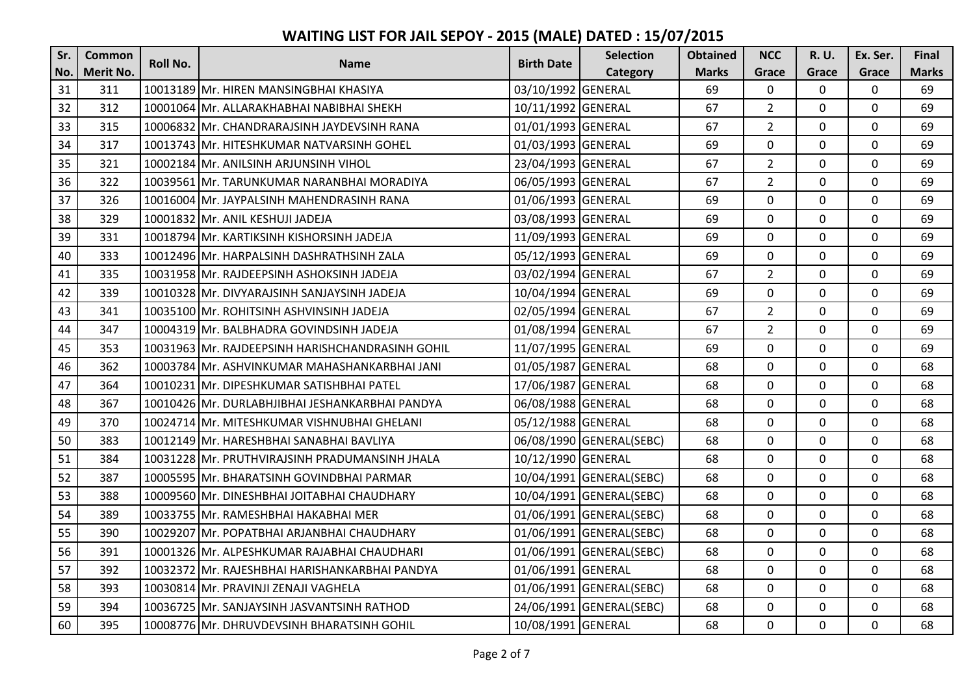| Sr. | <b>Common</b> | <b>Roll No.</b> |                                                  | <b>Birth Date</b>  | <b>Selection</b>         | <b>Obtained</b> | <b>NCC</b>     | R. U.    | Ex. Ser.    | <b>Final</b> |
|-----|---------------|-----------------|--------------------------------------------------|--------------------|--------------------------|-----------------|----------------|----------|-------------|--------------|
| No. | Merit No.     |                 | <b>Name</b>                                      |                    | Category                 | <b>Marks</b>    | Grace          | Grace    | Grace       | <b>Marks</b> |
| 31  | 311           |                 | 10013189 Mr. HIREN MANSINGBHAI KHASIYA           | 03/10/1992 GENERAL |                          | 69              | $\mathbf 0$    | 0        | $\mathbf 0$ | 69           |
| 32  | 312           |                 | 10001064 Mr. ALLARAKHABHAI NABIBHAI SHEKH        | 10/11/1992 GENERAL |                          | 67              | $\overline{2}$ | $\Omega$ | $\mathbf 0$ | 69           |
| 33  | 315           |                 | 10006832 Mr. CHANDRARAJSINH JAYDEVSINH RANA      | 01/01/1993 GENERAL |                          | 67              | $\overline{2}$ | 0        | $\mathbf 0$ | 69           |
| 34  | 317           |                 | 10013743 Mr. HITESHKUMAR NATVARSINH GOHEL        | 01/03/1993 GENERAL |                          | 69              | $\pmb{0}$      | 0        | $\mathbf 0$ | 69           |
| 35  | 321           |                 | 10002184 Mr. ANILSINH ARJUNSINH VIHOL            | 23/04/1993 GENERAL |                          | 67              | $\overline{2}$ | 0        | $\mathbf 0$ | 69           |
| 36  | 322           |                 | 10039561 Mr. TARUNKUMAR NARANBHAI MORADIYA       | 06/05/1993 GENERAL |                          | 67              | $\overline{2}$ | 0        | $\mathbf 0$ | 69           |
| 37  | 326           |                 | 10016004 Mr. JAYPALSINH MAHENDRASINH RANA        | 01/06/1993 GENERAL |                          | 69              | $\mathbf 0$    | 0        | $\mathbf 0$ | 69           |
| 38  | 329           |                 | 10001832 Mr. ANIL KESHUJI JADEJA                 | 03/08/1993 GENERAL |                          | 69              | $\mathbf 0$    | 0        | $\mathbf 0$ | 69           |
| 39  | 331           |                 | 10018794 Mr. KARTIKSINH KISHORSINH JADEJA        | 11/09/1993 GENERAL |                          | 69              | 0              | 0        | 0           | 69           |
| 40  | 333           |                 | 10012496 Mr. HARPALSINH DASHRATHSINH ZALA        | 05/12/1993 GENERAL |                          | 69              | $\mathbf 0$    | 0        | $\mathbf 0$ | 69           |
| 41  | 335           |                 | 10031958 Mr. RAJDEEPSINH ASHOKSINH JADEJA        | 03/02/1994 GENERAL |                          | 67              | $\overline{2}$ | 0        | $\mathbf 0$ | 69           |
| 42  | 339           |                 | 10010328 Mr. DIVYARAJSINH SANJAYSINH JADEJA      | 10/04/1994 GENERAL |                          | 69              | $\mathbf 0$    | 0        | $\mathbf 0$ | 69           |
| 43  | 341           |                 | 10035100 Mr. ROHITSINH ASHVINSINH JADEJA         | 02/05/1994 GENERAL |                          | 67              | $\overline{2}$ | 0        | $\mathbf 0$ | 69           |
| 44  | 347           |                 | 10004319 Mr. BALBHADRA GOVINDSINH JADEJA         | 01/08/1994 GENERAL |                          | 67              | $\overline{2}$ | 0        | $\mathbf 0$ | 69           |
| 45  | 353           |                 | 10031963 Mr. RAJDEEPSINH HARISHCHANDRASINH GOHIL | 11/07/1995 GENERAL |                          | 69              | $\mathbf 0$    | 0        | $\mathbf 0$ | 69           |
| 46  | 362           |                 | 10003784 Mr. ASHVINKUMAR MAHASHANKARBHAI JANI    | 01/05/1987 GENERAL |                          | 68              | $\mathbf 0$    | 0        | $\mathbf 0$ | 68           |
| 47  | 364           |                 | 10010231 Mr. DIPESHKUMAR SATISHBHAI PATEL        | 17/06/1987 GENERAL |                          | 68              | $\mathbf 0$    | 0        | $\mathbf 0$ | 68           |
| 48  | 367           |                 | 10010426 Mr. DURLABHJIBHAI JESHANKARBHAI PANDYA  | 06/08/1988 GENERAL |                          | 68              | $\mathbf 0$    | 0        | $\mathbf 0$ | 68           |
| 49  | 370           |                 | 10024714 Mr. MITESHKUMAR VISHNUBHAI GHELANI      | 05/12/1988 GENERAL |                          | 68              | $\mathbf 0$    | 0        | $\mathbf 0$ | 68           |
| 50  | 383           |                 | 10012149 Mr. HARESHBHAI SANABHAI BAVLIYA         |                    | 06/08/1990 GENERAL(SEBC) | 68              | $\mathbf 0$    | 0        | $\mathbf 0$ | 68           |
| 51  | 384           |                 | 10031228 Mr. PRUTHVIRAJSINH PRADUMANSINH JHALA   | 10/12/1990 GENERAL |                          | 68              | $\mathbf 0$    | 0        | $\mathbf 0$ | 68           |
| 52  | 387           |                 | 10005595 IMr. BHARATSINH GOVINDBHAI PARMAR       |                    | 10/04/1991 GENERAL(SEBC) | 68              | $\mathbf 0$    | 0        | $\mathbf 0$ | 68           |
| 53  | 388           |                 | 10009560 Mr. DINESHBHAI JOITABHAI CHAUDHARY      |                    | 10/04/1991 GENERAL(SEBC) | 68              | $\mathbf 0$    | 0        | $\mathbf 0$ | 68           |
| 54  | 389           |                 | 10033755 Mr. RAMESHBHAI HAKABHAI MER             |                    | 01/06/1991 GENERAL(SEBC) | 68              | $\mathbf 0$    | 0        | $\mathbf 0$ | 68           |
| 55  | 390           |                 | 10029207 Mr. POPATBHAI ARJANBHAI CHAUDHARY       |                    | 01/06/1991 GENERAL(SEBC) | 68              | $\mathbf 0$    | 0        | $\mathbf 0$ | 68           |
| 56  | 391           |                 | 10001326 Mr. ALPESHKUMAR RAJABHAI CHAUDHARI      |                    | 01/06/1991 GENERAL(SEBC) | 68              | $\mathbf 0$    | 0        | $\mathbf 0$ | 68           |
| 57  | 392           |                 | 10032372 Mr. RAJESHBHAI HARISHANKARBHAI PANDYA   | 01/06/1991 GENERAL |                          | 68              | $\mathbf 0$    | 0        | $\mathbf 0$ | 68           |
| 58  | 393           |                 | 10030814 Mr. PRAVINJI ZENAJI VAGHELA             |                    | 01/06/1991 GENERAL(SEBC) | 68              | $\mathbf 0$    | 0        | $\mathbf 0$ | 68           |
| 59  | 394           |                 | 10036725 IMr. SANJAYSINH JASVANTSINH RATHOD      |                    | 24/06/1991 GENERAL(SEBC) | 68              | $\mathbf 0$    | 0        | $\mathbf 0$ | 68           |
| 60  | 395           |                 | 10008776 Mr. DHRUVDEVSINH BHARATSINH GOHIL       | 10/08/1991 GENERAL |                          | 68              | $\mathbf 0$    | 0        | $\mathbf 0$ | 68           |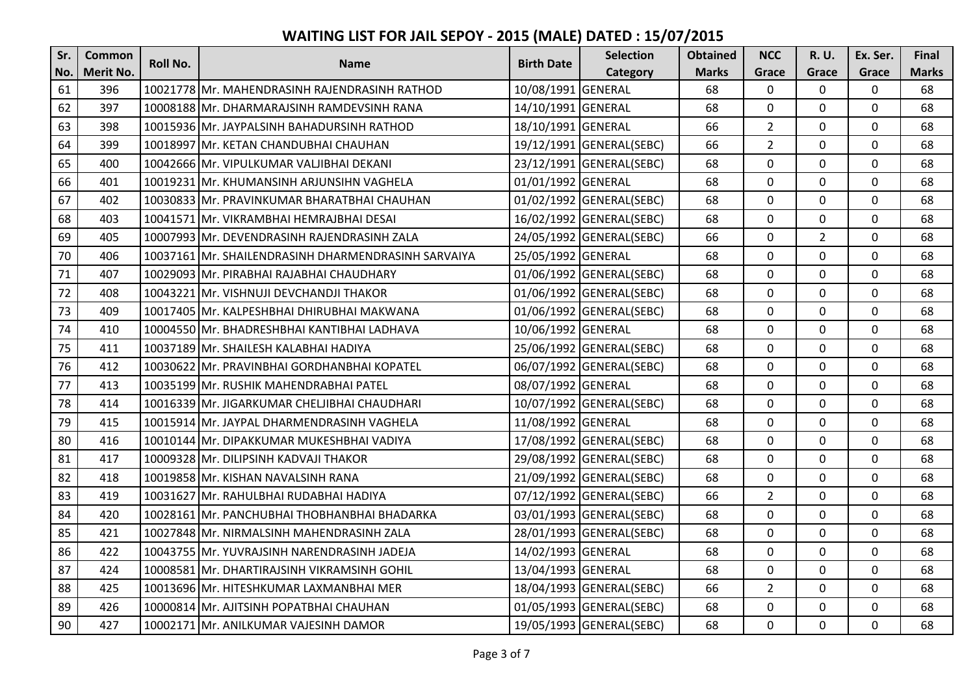| Sr. | <b>Common</b>    | Roll No. |                                                     | <b>Birth Date</b>  | <b>Selection</b>         | <b>Obtained</b> | <b>NCC</b>     | R. U.          | Ex. Ser.       | <b>Final</b> |
|-----|------------------|----------|-----------------------------------------------------|--------------------|--------------------------|-----------------|----------------|----------------|----------------|--------------|
| No. | <b>Merit No.</b> |          | <b>Name</b>                                         |                    | Category                 | <b>Marks</b>    | Grace          | Grace          | Grace          | <b>Marks</b> |
| 61  | 396              |          | 10021778 Mr. MAHENDRASINH RAJENDRASINH RATHOD       | 10/08/1991 GENERAL |                          | 68              | $\mathbf 0$    | $\Omega$       | $\mathbf 0$    | 68           |
| 62  | 397              |          | 10008188 Mr. DHARMARAJSINH RAMDEVSINH RANA          | 14/10/1991 GENERAL |                          | 68              | $\mathbf 0$    | $\mathbf{0}$   | $\mathbf 0$    | 68           |
| 63  | 398              |          | 10015936 Mr. JAYPALSINH BAHADURSINH RATHOD          | 18/10/1991 GENERAL |                          | 66              | $\overline{2}$ | $\mathbf 0$    | $\mathbf 0$    | 68           |
| 64  | 399              |          | 10018997 Mr. KETAN CHANDUBHAI CHAUHAN               |                    | 19/12/1991 GENERAL(SEBC) | 66              | $\overline{2}$ | 0              | $\mathbf 0$    | 68           |
| 65  | 400              |          | 10042666 Mr. VIPULKUMAR VALJIBHAI DEKANI            |                    | 23/12/1991 GENERAL(SEBC) | 68              | $\Omega$       | $\Omega$       | $\Omega$       | 68           |
| 66  | 401              |          | 10019231 Mr. KHUMANSINH ARJUNSIHN VAGHELA           | 01/01/1992 GENERAL |                          | 68              | $\mathbf 0$    | 0              | $\mathbf 0$    | 68           |
| 67  | 402              |          | 10030833 Mr. PRAVINKUMAR BHARATBHAI CHAUHAN         |                    | 01/02/1992 GENERAL(SEBC) | 68              | $\mathbf 0$    | 0              | $\mathbf 0$    | 68           |
| 68  | 403              |          | 10041571 Mr. VIKRAMBHAI HEMRAJBHAI DESAI            |                    | 16/02/1992 GENERAL(SEBC) | 68              | $\mathbf 0$    | $\mathbf 0$    | $\mathbf 0$    | 68           |
| 69  | 405              |          | 10007993 Mr. DEVENDRASINH RAJENDRASINH ZALA         |                    | 24/05/1992 GENERAL(SEBC) | 66              | $\mathbf 0$    | $\overline{2}$ | 0              | 68           |
| 70  | 406              |          | 10037161 Mr. SHAILENDRASINH DHARMENDRASINH SARVAIYA | 25/05/1992 GENERAL |                          | 68              | $\mathbf 0$    | 0              | $\mathbf 0$    | 68           |
| 71  | 407              |          | 10029093 Mr. PIRABHAI RAJABHAI CHAUDHARY            |                    | 01/06/1992 GENERAL(SEBC) | 68              | $\mathbf 0$    | 0              | $\mathbf 0$    | 68           |
| 72  | 408              |          | 10043221 Mr. VISHNUJI DEVCHANDJI THAKOR             |                    | 01/06/1992 GENERAL(SEBC) | 68              | $\mathbf 0$    | 0              | 0              | 68           |
| 73  | 409              |          | 10017405 Mr. KALPESHBHAI DHIRUBHAI MAKWANA          |                    | 01/06/1992 GENERAL(SEBC) | 68              | $\mathbf 0$    | $\mathbf 0$    | $\mathbf 0$    | 68           |
| 74  | 410              |          | 10004550 Mr. BHADRESHBHAI KANTIBHAI LADHAVA         | 10/06/1992 GENERAL |                          | 68              | $\mathbf 0$    | $\mathbf 0$    | $\mathbf 0$    | 68           |
| 75  | 411              |          | 10037189 Mr. SHAILESH KALABHAI HADIYA               |                    | 25/06/1992 GENERAL(SEBC) | 68              | $\mathbf 0$    | 0              | $\mathbf 0$    | 68           |
| 76  | 412              |          | 10030622 Mr. PRAVINBHAI GORDHANBHAI KOPATEL         |                    | 06/07/1992 GENERAL(SEBC) | 68              | $\mathbf 0$    | $\mathbf 0$    | $\mathbf 0$    | 68           |
| 77  | 413              |          | 10035199 Mr. RUSHIK MAHENDRABHAI PATEL              | 08/07/1992 GENERAL |                          | 68              | $\mathbf 0$    | 0              | $\mathbf 0$    | 68           |
| 78  | 414              |          | 10016339 Mr. JIGARKUMAR CHELJIBHAI CHAUDHARI        |                    | 10/07/1992 GENERAL(SEBC) | 68              | $\mathbf 0$    | $\mathbf 0$    | $\mathbf 0$    | 68           |
| 79  | 415              |          | 10015914 Mr. JAYPAL DHARMENDRASINH VAGHELA          | 11/08/1992 GENERAL |                          | 68              | $\mathbf 0$    | $\mathbf 0$    | $\mathbf 0$    | 68           |
| 80  | 416              |          | 10010144 Mr. DIPAKKUMAR MUKESHBHAI VADIYA           |                    | 17/08/1992 GENERAL(SEBC) | 68              | $\mathbf 0$    | $\mathbf 0$    | $\mathbf 0$    | 68           |
| 81  | 417              |          | 10009328 Mr. DILIPSINH KADVAJI THAKOR               |                    | 29/08/1992 GENERAL(SEBC) | 68              | $\mathbf 0$    | $\mathbf 0$    | $\mathbf 0$    | 68           |
| 82  | 418              |          | 10019858 Mr. KISHAN NAVALSINH RANA                  |                    | 21/09/1992 GENERAL(SEBC) | 68              | $\overline{0}$ | 0              | $\mathbf{0}$   | 68           |
| 83  | 419              |          | 10031627 Mr. RAHULBHAI RUDABHAI HADIYA              |                    | 07/12/1992 GENERAL(SEBC) | 66              | $\overline{2}$ | $\mathbf 0$    | $\mathbf 0$    | 68           |
| 84  | 420              |          | 10028161 Mr. PANCHUBHAI THOBHANBHAI BHADARKA        |                    | 03/01/1993 GENERAL(SEBC) | 68              | 0              | 0              | $\mathbf 0$    | 68           |
| 85  | 421              |          | 10027848 Mr. NIRMALSINH MAHENDRASINH ZALA           |                    | 28/01/1993 GENERAL(SEBC) | 68              | $\mathbf 0$    | $\Omega$       | $\mathbf 0$    | 68           |
| 86  | 422              |          | 10043755 Mr. YUVRAJSINH NARENDRASINH JADEJA         | 14/02/1993 GENERAL |                          | 68              | $\mathbf 0$    | $\mathbf 0$    | $\mathbf 0$    | 68           |
| 87  | 424              |          | 10008581 Mr. DHARTIRAJSINH VIKRAMSINH GOHIL         | 13/04/1993 GENERAL |                          | 68              | $\mathbf 0$    | 0              | $\mathbf 0$    | 68           |
| 88  | 425              |          | 10013696 Mr. HITESHKUMAR LAXMANBHAI MER             |                    | 18/04/1993 GENERAL(SEBC) | 66              | $\overline{2}$ | $\mathbf 0$    | $\mathbf 0$    | 68           |
| 89  | 426              |          | 10000814 Mr. AJITSINH POPATBHAI CHAUHAN             |                    | 01/05/1993 GENERAL(SEBC) | 68              | $\mathbf{0}$   | $\mathbf 0$    | $\mathbf 0$    | 68           |
| 90  | 427              |          | 10002171 Mr. ANILKUMAR VAJESINH DAMOR               |                    | 19/05/1993 GENERAL(SEBC) | 68              | $\mathbf{0}$   | 0              | $\overline{0}$ | 68           |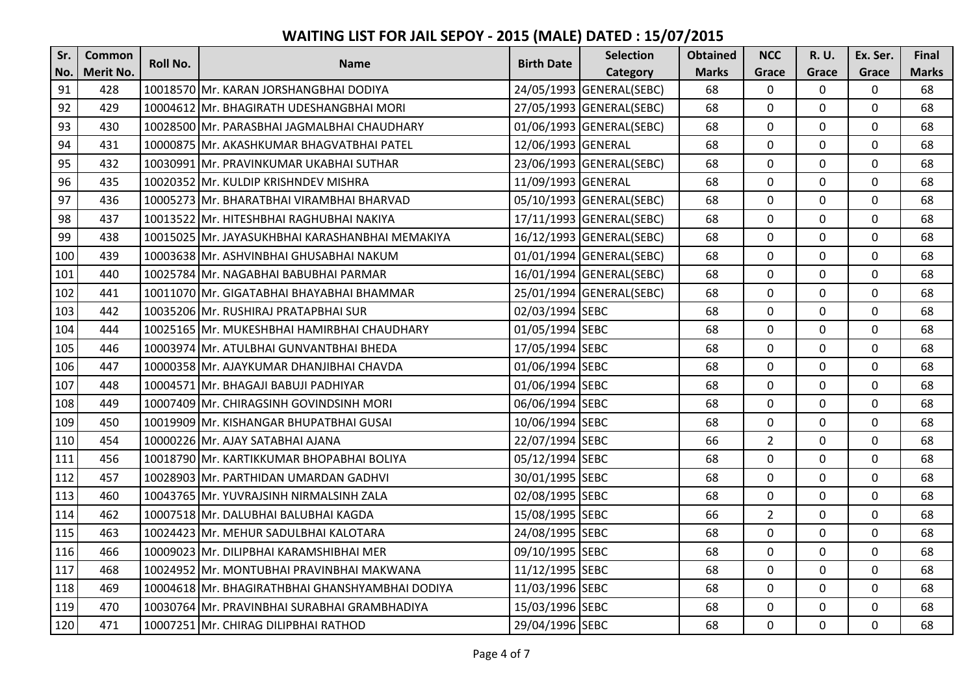| Sr. | <b>Common</b>    | Roll No. | <b>Name</b>                                     | <b>Birth Date</b>  | <b>Selection</b>         | <b>Obtained</b> | <b>NCC</b>     | R. U.        | Ex. Ser.     | <b>Final</b> |
|-----|------------------|----------|-------------------------------------------------|--------------------|--------------------------|-----------------|----------------|--------------|--------------|--------------|
| No. | <b>Merit No.</b> |          |                                                 |                    | Category                 | <b>Marks</b>    | Grace          | Grace        | Grace        | <b>Marks</b> |
| 91  | 428              |          | 10018570 Mr. KARAN JORSHANGBHAI DODIYA          |                    | 24/05/1993 GENERAL(SEBC) | 68              | $\mathbf 0$    | $\mathbf 0$  | $\mathbf 0$  | 68           |
| 92  | 429              |          | 10004612 Mr. BHAGIRATH UDESHANGBHAI MORI        |                    | 27/05/1993 GENERAL(SEBC) | 68              | $\mathbf 0$    | $\Omega$     | $\mathbf 0$  | 68           |
| 93  | 430              |          | 10028500 Mr. PARASBHAI JAGMALBHAI CHAUDHARY     |                    | 01/06/1993 GENERAL(SEBC) | 68              | $\mathbf 0$    | $\mathbf 0$  | $\mathbf 0$  | 68           |
| 94  | 431              |          | 10000875 Mr. AKASHKUMAR BHAGVATBHAI PATEL       | 12/06/1993 GENERAL |                          | 68              | $\mathbf 0$    | 0            | $\mathbf 0$  | 68           |
| 95  | 432              |          | 10030991 Mr. PRAVINKUMAR UKABHAI SUTHAR         |                    | 23/06/1993 GENERAL(SEBC) | 68              | $\mathbf 0$    | 0            | $\mathbf 0$  | 68           |
| 96  | 435              |          | 10020352 Mr. KULDIP KRISHNDEV MISHRA            | 11/09/1993 GENERAL |                          | 68              | $\mathbf 0$    | $\mathbf 0$  | $\mathbf 0$  | 68           |
| 97  | 436              |          | 10005273 Mr. BHARATBHAI VIRAMBHAI BHARVAD       |                    | 05/10/1993 GENERAL(SEBC) | 68              | $\mathbf{0}$   | $\mathbf 0$  | $\mathbf 0$  | 68           |
| 98  | 437              |          | 10013522 Mr. HITESHBHAI RAGHUBHAI NAKIYA        |                    | 17/11/1993 GENERAL(SEBC) | 68              | $\mathbf{0}$   | $\mathbf{0}$ | $\mathbf{0}$ | 68           |
| 99  | 438              |          | 10015025 Mr. JAYASUKHBHAI KARASHANBHAI MEMAKIYA |                    | 16/12/1993 GENERAL(SEBC) | 68              | $\Omega$       | 0            | $\mathbf 0$  | 68           |
| 100 | 439              |          | 10003638 Mr. ASHVINBHAI GHUSABHAI NAKUM         |                    | 01/01/1994 GENERAL(SEBC) | 68              | $\mathbf{0}$   | 0            | $\mathbf 0$  | 68           |
| 101 | 440              |          | 10025784 Mr. NAGABHAI BABUBHAI PARMAR           |                    | 16/01/1994 GENERAL(SEBC) | 68              | $\mathbf 0$    | $\mathbf 0$  | $\mathbf 0$  | 68           |
| 102 | 441              |          | 10011070 Mr. GIGATABHAI BHAYABHAI BHAMMAR       |                    | 25/01/1994 GENERAL(SEBC) | 68              | $\mathbf 0$    | $\mathbf{0}$ | $\mathbf 0$  | 68           |
| 103 | 442              |          | 10035206 Mr. RUSHIRAJ PRATAPBHAI SUR            | 02/03/1994 SEBC    |                          | 68              | $\mathbf 0$    | 0            | $\mathbf 0$  | 68           |
| 104 | 444              |          | 10025165 Mr. MUKESHBHAI HAMIRBHAI CHAUDHARY     | 01/05/1994 SEBC    |                          | 68              | $\mathbf{0}$   | $\mathbf 0$  | $\mathbf 0$  | 68           |
| 105 | 446              |          | 10003974 Mr. ATULBHAI GUNVANTBHAI BHEDA         | 17/05/1994 SEBC    |                          | 68              | $\mathbf{0}$   | $\mathbf{0}$ | $\mathbf 0$  | 68           |
| 106 | 447              |          | 10000358 Mr. AJAYKUMAR DHANJIBHAI CHAVDA        | 01/06/1994 SEBC    |                          | 68              | $\mathbf 0$    | $\mathbf 0$  | $\mathbf 0$  | 68           |
| 107 | 448              |          | 10004571 Mr. BHAGAJI BABUJI PADHIYAR            | 01/06/1994 SEBC    |                          | 68              | $\mathbf{0}$   | $\mathbf 0$  | $\mathbf 0$  | 68           |
| 108 | 449              |          | 10007409 Mr. CHIRAGSINH GOVINDSINH MORI         | 06/06/1994 SEBC    |                          | 68              | $\Omega$       | $\mathbf{0}$ | $\mathbf 0$  | 68           |
| 109 | 450              |          | 10019909 Mr. KISHANGAR BHUPATBHAI GUSAI         | 10/06/1994 SEBC    |                          | 68              | $\mathbf{0}$   | $\mathbf 0$  | $\mathbf 0$  | 68           |
| 110 | 454              |          | 10000226 Mr. AJAY SATABHAI AJANA                | 22/07/1994 SEBC    |                          | 66              | $\overline{2}$ | $\mathbf{0}$ | $\mathbf 0$  | 68           |
| 111 | 456              |          | 10018790 Mr. KARTIKKUMAR BHOPABHAI BOLIYA       | 05/12/1994 SEBC    |                          | 68              | $\mathbf 0$    | $\mathbf 0$  | $\mathbf 0$  | 68           |
| 112 | 457              |          | 10028903 Mr. PARTHIDAN UMARDAN GADHVI           | 30/01/1995 SEBC    |                          | 68              | $\Omega$       | $\mathbf 0$  | $\mathbf 0$  | 68           |
| 113 | 460              |          | 10043765 Mr. YUVRAJSINH NIRMALSINH ZALA         | 02/08/1995 SEBC    |                          | 68              | $\mathbf{0}$   | $\mathbf 0$  | $\mathbf 0$  | 68           |
| 114 | 462              |          | 10007518 Mr. DALUBHAI BALUBHAI KAGDA            | 15/08/1995 SEBC    |                          | 66              | $\overline{2}$ | $\mathbf 0$  | $\mathbf 0$  | 68           |
| 115 | 463              |          | 10024423 Mr. MEHUR SADULBHAI KALOTARA           | 24/08/1995 SEBC    |                          | 68              | $\Omega$       | 0            | $\mathbf 0$  | 68           |
| 116 | 466              |          | 10009023 Mr. DILIPBHAI KARAMSHIBHAI MER         | 09/10/1995 SEBC    |                          | 68              | $\mathbf 0$    | $\mathbf 0$  | $\mathbf 0$  | 68           |
| 117 | 468              |          | 10024952 Mr. MONTUBHAI PRAVINBHAI MAKWANA       | 11/12/1995 SEBC    |                          | 68              | $\mathbf 0$    | $\mathbf 0$  | $\mathbf 0$  | 68           |
| 118 | 469              |          | 10004618 Mr. BHAGIRATHBHAI GHANSHYAMBHAI DODIYA | 11/03/1996 SEBC    |                          | 68              | $\Omega$       | 0            | $\mathbf 0$  | 68           |
| 119 | 470              |          | 10030764 Mr. PRAVINBHAI SURABHAI GRAMBHADIYA    | 15/03/1996 SEBC    |                          | 68              | $\mathbf 0$    | $\mathbf 0$  | $\mathbf 0$  | 68           |
| 120 | 471              |          | 10007251 Mr. CHIRAG DILIPBHAI RATHOD            | 29/04/1996 SEBC    |                          | 68              | $\mathbf{0}$   | 0            | $\mathbf 0$  | 68           |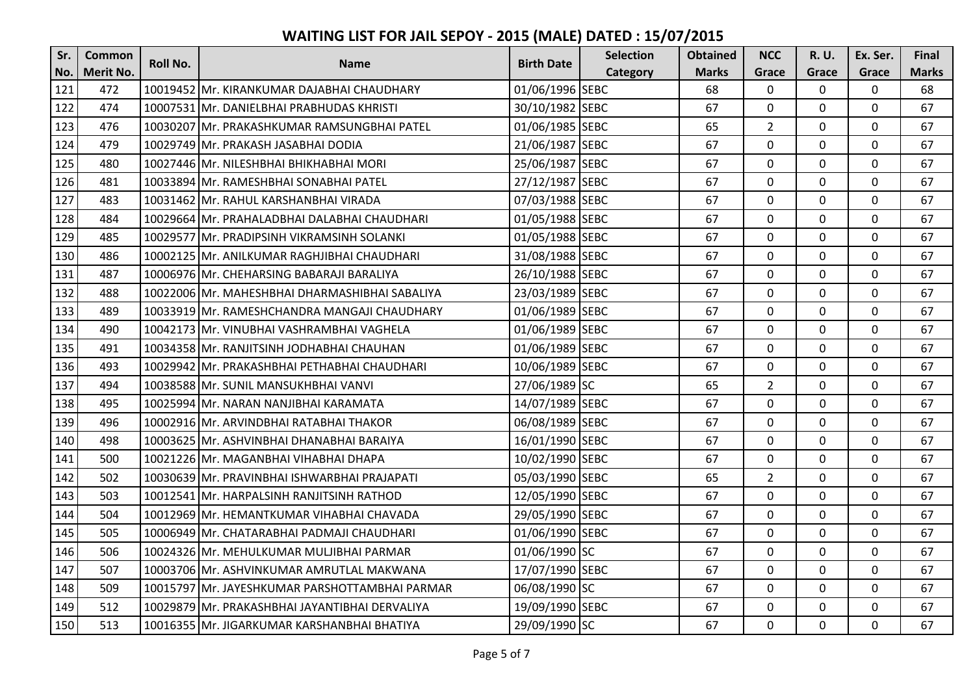| Sr. | <b>Common</b>    | Roll No. |                                                | <b>Birth Date</b> | <b>Selection</b> | <b>Obtained</b> | <b>NCC</b>     | R. U.    | Ex. Ser.     | <b>Final</b> |
|-----|------------------|----------|------------------------------------------------|-------------------|------------------|-----------------|----------------|----------|--------------|--------------|
| No. | <b>Merit No.</b> |          | <b>Name</b>                                    |                   | Category         | <b>Marks</b>    | Grace          | Grace    | Grace        | <b>Marks</b> |
| 121 | 472              |          | 10019452 Mr. KIRANKUMAR DAJABHAI CHAUDHARY     | 01/06/1996 SEBC   |                  | 68              | $\mathbf 0$    | 0        | $\mathbf 0$  | 68           |
| 122 | 474              |          | 10007531 Mr. DANIELBHAI PRABHUDAS KHRISTI      | 30/10/1982 SEBC   |                  | 67              | $\mathbf 0$    | 0        | $\mathbf 0$  | 67           |
| 123 | 476              |          | 10030207 Mr. PRAKASHKUMAR RAMSUNGBHAI PATEL    | 01/06/1985 SEBC   |                  | 65              | $\overline{2}$ | 0        | $\mathbf 0$  | 67           |
| 124 | 479              |          | 10029749 Mr. PRAKASH JASABHAI DODIA            | 21/06/1987 SEBC   |                  | 67              | 0              | 0        | $\mathbf 0$  | 67           |
| 125 | 480              |          | 10027446 Mr. NILESHBHAI BHIKHABHAI MORI        | 25/06/1987 SEBC   |                  | 67              | $\Omega$       | $\Omega$ | $\mathbf 0$  | 67           |
| 126 | 481              |          | 10033894 Mr. RAMESHBHAI SONABHAI PATEL         | 27/12/1987 SEBC   |                  | 67              | $\mathbf{0}$   | 0        | $\mathbf 0$  | 67           |
| 127 | 483              |          | 10031462 Mr. RAHUL KARSHANBHAI VIRADA          | 07/03/1988 SEBC   |                  | 67              | $\mathbf 0$    | 0        | $\mathbf 0$  | 67           |
| 128 | 484              |          | 10029664 Mr. PRAHALADBHAI DALABHAI CHAUDHARI   | 01/05/1988 SEBC   |                  | 67              | $\mathbf 0$    | 0        | $\mathbf 0$  | 67           |
| 129 | 485              |          | 10029577 Mr. PRADIPSINH VIKRAMSINH SOLANKI     | 01/05/1988 SEBC   |                  | 67              | $\mathbf 0$    | 0        | $\mathbf 0$  | 67           |
| 130 | 486              |          | 10002125 Mr. ANILKUMAR RAGHJIBHAI CHAUDHARI    | 31/08/1988 SEBC   |                  | 67              | $\mathbf 0$    | 0        | $\mathbf 0$  | 67           |
| 131 | 487              |          | 10006976 Mr. CHEHARSING BABARAJI BARALIYA      | 26/10/1988 SEBC   |                  | 67              | $\mathbf 0$    | 0        | $\mathbf 0$  | 67           |
| 132 | 488              |          | 10022006 Mr. MAHESHBHAI DHARMASHIBHAI SABALIYA | 23/03/1989 SEBC   |                  | 67              | $\mathbf 0$    | 0        | $\mathbf 0$  | 67           |
| 133 | 489              |          | 10033919 Mr. RAMESHCHANDRA MANGAJI CHAUDHARY   | 01/06/1989 SEBC   |                  | 67              | $\mathbf 0$    | 0        | $\mathbf 0$  | 67           |
| 134 | 490              |          | 10042173 Mr. VINUBHAI VASHRAMBHAI VAGHELA      | 01/06/1989 SEBC   |                  | 67              | $\mathbf 0$    | 0        | $\mathbf 0$  | 67           |
| 135 | 491              |          | 10034358 Mr. RANJITSINH JODHABHAI CHAUHAN      | 01/06/1989 SEBC   |                  | 67              | $\mathbf 0$    | 0        | $\mathbf 0$  | 67           |
| 136 | 493              |          | 10029942 Mr. PRAKASHBHAI PETHABHAI CHAUDHARI   | 10/06/1989 SEBC   |                  | 67              | $\mathbf 0$    | 0        | $\mathbf 0$  | 67           |
| 137 | 494              |          | 10038588 Mr. SUNIL MANSUKHBHAI VANVI           | 27/06/1989 SC     |                  | 65              | $\overline{2}$ | 0        | $\mathbf 0$  | 67           |
| 138 | 495              |          | 10025994 Mr. NARAN NANJIBHAI KARAMATA          | 14/07/1989 SEBC   |                  | 67              | $\mathbf 0$    | 0        | $\mathbf 0$  | 67           |
| 139 | 496              |          | 10002916 Mr. ARVINDBHAI RATABHAI THAKOR        | 06/08/1989 SEBC   |                  | 67              | $\mathbf 0$    | 0        | $\mathbf 0$  | 67           |
| 140 | 498              |          | 10003625 Mr. ASHVINBHAI DHANABHAI BARAIYA      | 16/01/1990 SEBC   |                  | 67              | $\mathbf 0$    | 0        | $\mathbf 0$  | 67           |
| 141 | 500              |          | 10021226 Mr. MAGANBHAI VIHABHAI DHAPA          | 10/02/1990 SEBC   |                  | 67              | $\mathbf 0$    | 0        | $\mathbf 0$  | 67           |
| 142 | 502              |          | 10030639 Mr. PRAVINBHAI ISHWARBHAI PRAJAPATI   | 05/03/1990 SEBC   |                  | 65              | $\overline{2}$ | 0        | $\mathbf 0$  | 67           |
| 143 | 503              |          | 10012541 Mr. HARPALSINH RANJITSINH RATHOD      | 12/05/1990 SEBC   |                  | 67              | $\mathbf 0$    | 0        | $\mathbf 0$  | 67           |
| 144 | 504              |          | 10012969 Mr. HEMANTKUMAR VIHABHAI CHAVADA      | 29/05/1990 SEBC   |                  | 67              | $\mathbf 0$    | 0        | $\mathbf 0$  | 67           |
| 145 | 505              |          | 10006949 IMr. CHATARABHAI PADMAJI CHAUDHARI    | 01/06/1990 SEBC   |                  | 67              | $\mathbf 0$    | 0        | $\mathbf 0$  | 67           |
| 146 | 506              |          | 10024326 Mr. MEHULKUMAR MULJIBHAI PARMAR       | 01/06/1990 SC     |                  | 67              | $\mathbf 0$    | 0        | $\mathbf 0$  | 67           |
| 147 | 507              |          | 10003706 Mr. ASHVINKUMAR AMRUTLAL MAKWANA      | 17/07/1990 SEBC   |                  | 67              | $\mathbf 0$    | 0        | $\mathbf 0$  | 67           |
| 148 | 509              |          | 10015797 Mr. JAYESHKUMAR PARSHOTTAMBHAI PARMAR | 06/08/1990 SC     |                  | 67              | $\overline{0}$ | 0        | $\mathbf 0$  | 67           |
| 149 | 512              |          | 10029879 Mr. PRAKASHBHAI JAYANTIBHAI DERVALIYA | 19/09/1990 SEBC   |                  | 67              | $\mathbf 0$    | 0        | $\mathbf 0$  | 67           |
| 150 | 513              |          | 10016355 Mr. JIGARKUMAR KARSHANBHAI BHATIYA    | 29/09/1990 SC     |                  | 67              | $\overline{0}$ | 0        | $\mathbf{0}$ | 67           |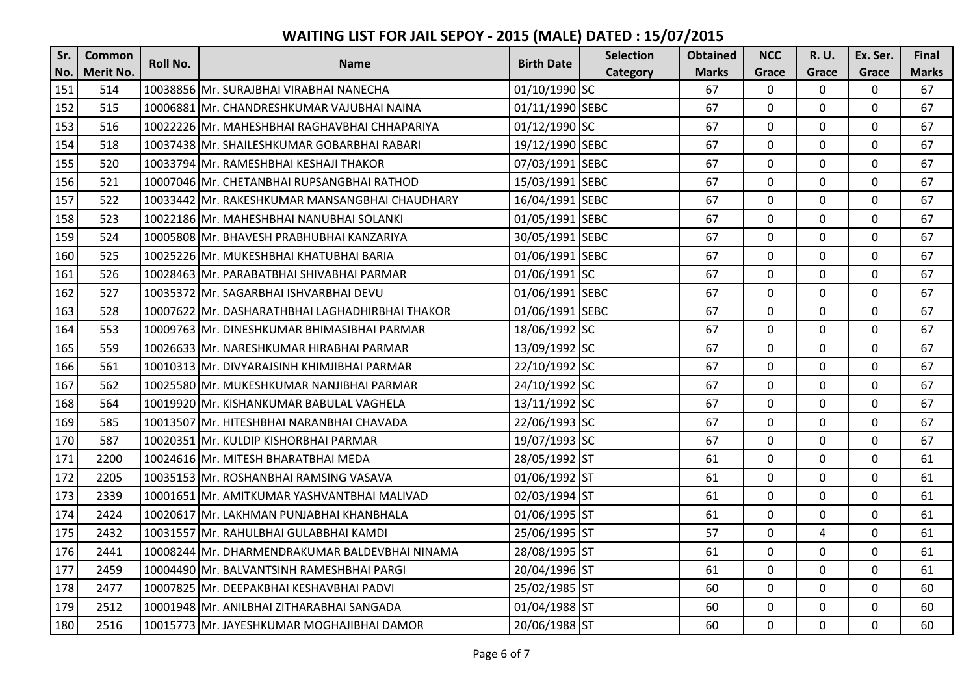| Sr. | <b>Common</b> | <b>Roll No.</b> |                                                 | <b>Birth Date</b> | <b>Selection</b> | <b>Obtained</b> | <b>NCC</b>   | R. U.        | Ex. Ser.     | <b>Final</b> |
|-----|---------------|-----------------|-------------------------------------------------|-------------------|------------------|-----------------|--------------|--------------|--------------|--------------|
| No. | Merit No.     |                 | <b>Name</b>                                     |                   | Category         | <b>Marks</b>    | Grace        | Grace        | Grace        | <b>Marks</b> |
| 151 | 514           |                 | 10038856 Mr. SURAJBHAI VIRABHAI NANECHA         | 01/10/1990 SC     |                  | 67              | $\mathbf 0$  | 0            | $\mathbf 0$  | 67           |
| 152 | 515           |                 | 10006881 Mr. CHANDRESHKUMAR VAJUBHAI NAINA      | 01/11/1990 SEBC   |                  | 67              | $\mathbf 0$  | $\Omega$     | $\mathbf 0$  | 67           |
| 153 | 516           |                 | 10022226 Mr. MAHESHBHAI RAGHAVBHAI CHHAPARIYA   | 01/12/1990 SC     |                  | 67              | $\mathbf 0$  | 0            | $\mathbf 0$  | 67           |
| 154 | 518           |                 | 10037438 Mr. SHAILESHKUMAR GOBARBHAI RABARI     | 19/12/1990 SEBC   |                  | 67              | $\mathbf 0$  | 0            | $\mathbf 0$  | 67           |
| 155 | 520           |                 | 10033794 Mr. RAMESHBHAI KESHAJI THAKOR          | 07/03/1991 SEBC   |                  | 67              | $\Omega$     | 0            | $\mathbf 0$  | 67           |
| 156 | 521           |                 | 10007046 Mr. CHETANBHAI RUPSANGBHAI RATHOD      | 15/03/1991 SEBC   |                  | 67              | $\mathbf 0$  | 0            | $\mathbf 0$  | 67           |
| 157 | 522           |                 | 10033442 Mr. RAKESHKUMAR MANSANGBHAI CHAUDHARY  | 16/04/1991 SEBC   |                  | 67              | $\mathbf 0$  | 0            | $\mathbf 0$  | 67           |
| 158 | 523           |                 | 10022186 Mr. MAHESHBHAI NANUBHAI SOLANKI        | 01/05/1991 SEBC   |                  | 67              | $\mathbf 0$  | 0            | $\mathbf 0$  | 67           |
| 159 | 524           |                 | 10005808 Mr. BHAVESH PRABHUBHAI KANZARIYA       | 30/05/1991 SEBC   |                  | 67              | 0            | 0            | $\mathbf 0$  | 67           |
| 160 | 525           |                 | 10025226 Mr. MUKESHBHAI KHATUBHAI BARIA         | 01/06/1991 SEBC   |                  | 67              | $\mathbf 0$  | $\mathbf{0}$ | $\mathbf 0$  | 67           |
| 161 | 526           |                 | 10028463 Mr. PARABATBHAI SHIVABHAI PARMAR       | 01/06/1991 SC     |                  | 67              | $\mathbf 0$  | 0            | $\mathbf 0$  | 67           |
| 162 | 527           |                 | 10035372 Mr. SAGARBHAI ISHVARBHAI DEVU          | 01/06/1991 SEBC   |                  | 67              | $\mathbf 0$  | 0            | 0            | 67           |
| 163 | 528           |                 | 10007622 Mr. DASHARATHBHAI LAGHADHIRBHAI THAKOR | 01/06/1991 SEBC   |                  | 67              | $\mathbf 0$  | 0            | $\mathbf 0$  | 67           |
| 164 | 553           |                 | 10009763   Mr. DINESHKUMAR BHIMASIBHAI PARMAR   | 18/06/1992 SC     |                  | 67              | $\mathbf 0$  | 0            | $\mathbf 0$  | 67           |
| 165 | 559           |                 | 10026633 Mr. NARESHKUMAR HIRABHAI PARMAR        | 13/09/1992 SC     |                  | 67              | $\mathbf 0$  | 0            | $\mathbf 0$  | 67           |
| 166 | 561           |                 | 10010313 Mr. DIVYARAJSINH KHIMJIBHAI PARMAR     | 22/10/1992 SC     |                  | 67              | $\mathbf 0$  | 0            | $\mathbf 0$  | 67           |
| 167 | 562           |                 | 10025580 Mr. MUKESHKUMAR NANJIBHAI PARMAR       | 24/10/1992 SC     |                  | 67              | $\mathbf{0}$ | 0            | $\mathbf 0$  | 67           |
| 168 | 564           |                 | 10019920 Mr. KISHANKUMAR BABULAL VAGHELA        | 13/11/1992 SC     |                  | 67              | $\mathbf 0$  | 0            | $\mathbf 0$  | 67           |
| 169 | 585           |                 | 10013507 Mr. HITESHBHAI NARANBHAI CHAVADA       | 22/06/1993 SC     |                  | 67              | $\mathbf 0$  | 0            | $\mathbf 0$  | 67           |
| 170 | 587           |                 | 10020351 Mr. KULDIP KISHORBHAI PARMAR           | 19/07/1993 SC     |                  | 67              | $\mathbf 0$  | 0            | $\mathbf 0$  | 67           |
| 171 | 2200          |                 | 10024616 Mr. MITESH BHARATBHAI MEDA             | 28/05/1992 ST     |                  | 61              | $\mathbf 0$  | 0            | $\mathbf 0$  | 61           |
| 172 | 2205          |                 | 10035153 Mr. ROSHANBHAI RAMSING VASAVA          | 01/06/1992 ST     |                  | 61              | $\mathbf 0$  | 0            | $\mathbf 0$  | 61           |
| 173 | 2339          |                 | 10001651 Mr. AMITKUMAR YASHVANTBHAI MALIVAD     | 02/03/1994 ST     |                  | 61              | $\mathbf 0$  | 0            | $\mathbf 0$  | 61           |
| 174 | 2424          |                 | 10020617 Mr. LAKHMAN PUNJABHAI KHANBHALA        | 01/06/1995 ST     |                  | 61              | $\mathbf 0$  | 0            | $\mathbf 0$  | 61           |
| 175 | 2432          |                 | 10031557 Mr. RAHULBHAI GULABBHAI KAMDI          | 25/06/1995 ST     |                  | 57              | $\mathbf 0$  | 4            | $\mathbf 0$  | 61           |
| 176 | 2441          |                 | 10008244 Mr. DHARMENDRAKUMAR BALDEVBHAI NINAMA  | 28/08/1995 ST     |                  | 61              | $\mathbf 0$  | 0            | $\mathbf 0$  | 61           |
| 177 | 2459          |                 | 10004490 Mr. BALVANTSINH RAMESHBHAI PARGI       | 20/04/1996 ST     |                  | 61              | $\mathbf 0$  | 0            | $\mathbf 0$  | 61           |
| 178 | 2477          |                 | 10007825 Mr. DEEPAKBHAI KESHAVBHAI PADVI        | 25/02/1985 ST     |                  | 60              | $\mathbf 0$  | 0            | $\mathbf 0$  | 60           |
| 179 | 2512          |                 | 10001948 Mr. ANILBHAI ZITHARABHAI SANGADA       | 01/04/1988 ST     |                  | 60              | $\mathbf 0$  | 0            | $\mathbf 0$  | 60           |
| 180 | 2516          |                 | 10015773 Mr. JAYESHKUMAR MOGHAJIBHAI DAMOR      | 20/06/1988 ST     |                  | 60              | $\mathbf{0}$ | $\Omega$     | $\mathbf{0}$ | 60           |